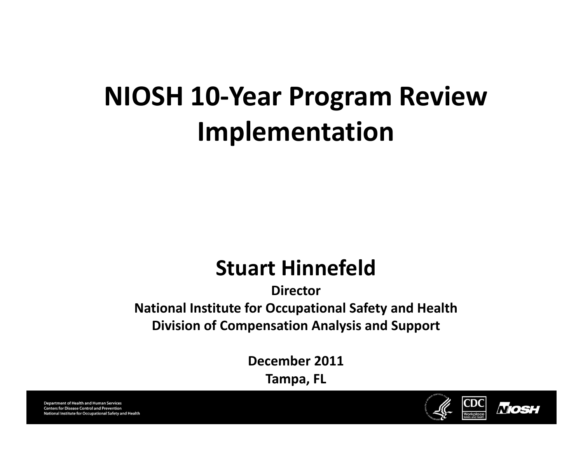#### **NIOSH 10‐Year Program Review Implementation**

#### **Stuart Hinnefeld**

**DirectorNational Institute for Occupational Safety and Health Division of Compensation Analysis and Support**

**December 2011**

**Tampa, FL**



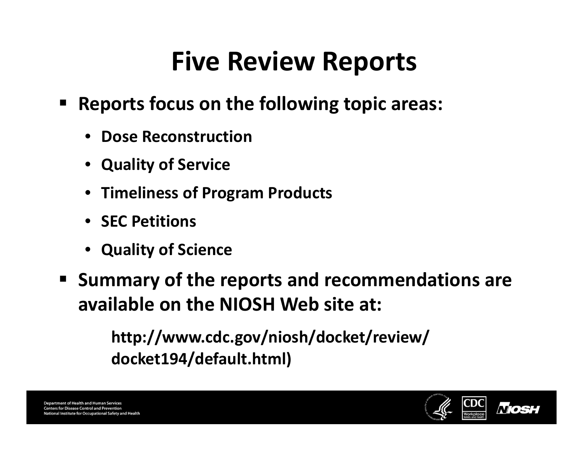### **Five Review Reports**

- **Reports focus on the following topic areas:**
	- **Dose Reconstruction**
	- **Quality of Service**
	- **Timeliness of Program Products**
	- **SEC Petitions**
	- **Quality of Science**
- **Summary of the reports and recommendations are available on the NIOSH Web site at:**

**http://www.cdc.gov/niosh/docket/review/ docket194/default.html)**

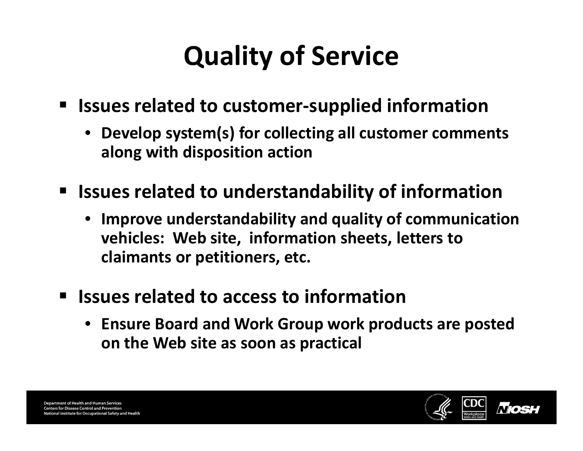## **Quality of Service**

- **Issues related to customer‐supplied information**
	- **Develop system(s) for collecting all customer comments along with disposition action**
- **Issues related to understandability of information**
	- **Improve understandability and quality of communication vehicles: Web site, information sheets, letters to claimants or petitioners, etc.**
- $\blacksquare$  **Issues related to access to information**
	- **Ensure Board and Work Group work products are posted on the Web site as soon as practical**

**Department of Health and Human Services Centers for Disease Control and Prevention** nal Institute for Occupational Safety and Health

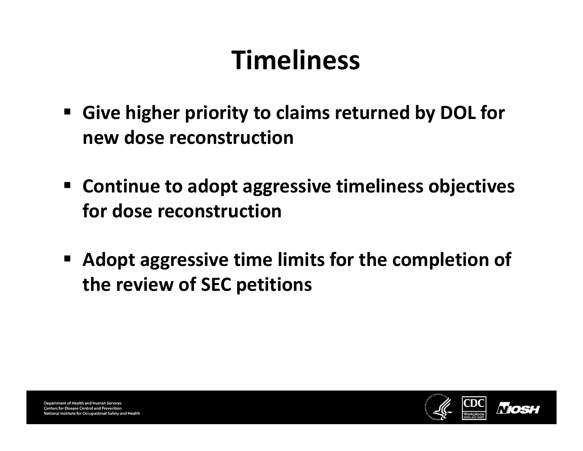### **Timeliness**

- **Give higher priority to claims returned by DOL for new dose reconstruction**
- **Continue to adopt aggressive timeliness objectives for dose reconstruction**
- **Adopt aggressive time limits for the completion of the review of SEC petitions**

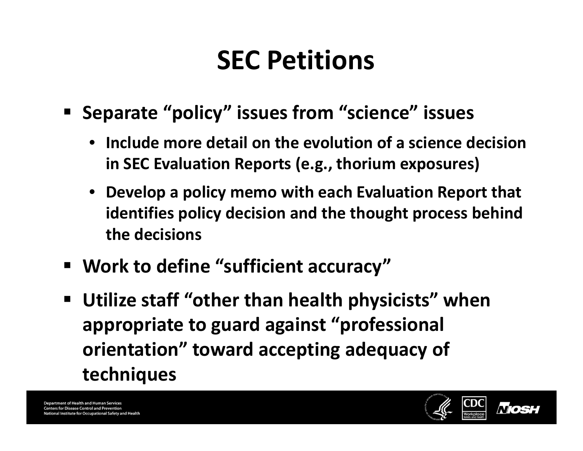### **SEC Petitions**

- **Separate "policy" issues from "science" issues**
	- **Include more detail on the evolution of <sup>a</sup> science decision in SEC Evaluation Reports (e.g., thorium exposures)**
	- **Develop <sup>a</sup> policy memo with each Evaluation Report that identifies policy decision and the thought process behind the decisions**
- **Work to define "sufficient accuracy"**
- **Utilize staff "other than health physicists" when appropriate to guard against "professional orientation" toward accepting adequacy of techniques**

**Department of Health and Human Services Centers for Disease Control and Prevention** nal Institute for Occupational Safety and Health

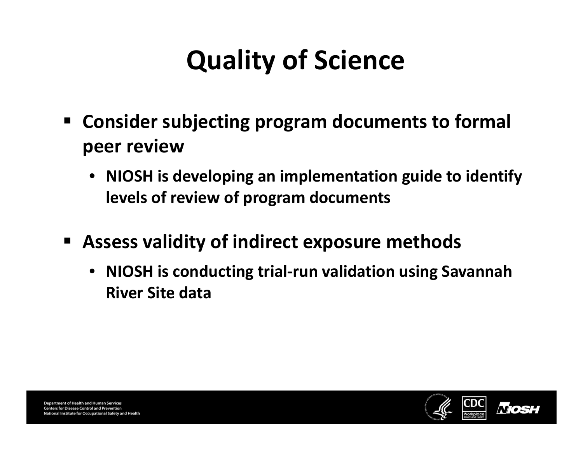# **Quality of Science**

- **Consider subjecting program documents to formal peer review**
	- **NIOSH is developing an implementation guide to identify levels of review of program documents**
- $\blacksquare$  **Assess validity of indirect exposure methods**
	- **NIOSH is conducting trial‐run validation using Savannah River Site data**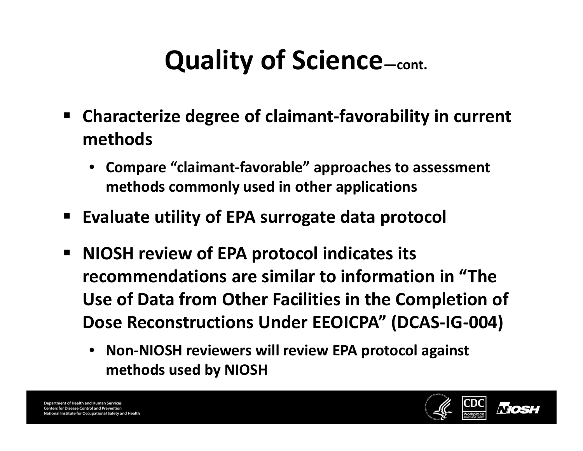# **Quality of Science—cont.**

- **Characterize degree of claimant‐favorability in current methods**
	- **Compare "claimant‐favorable" approaches to assessment methods commonly used in other applications**
- $\blacksquare$ **Evaluate utility of EPA surrogate data protocol**
- $\qquad \qquad \blacksquare$  **NIOSH review of EPA protocol indicates its recommendations are similar to information in "The Use of Data from Other Facilities in the Completion of Dose Reconstructions Under EEOICPA" (DCAS‐IG‐004)**
	- **Non‐NIOSH reviewers will review EPA protocol against methods used by NIOSH**

**Department of Health and Human Services Centers for Disease Control and Prevention** nal Institute for Occupational Safety and Health